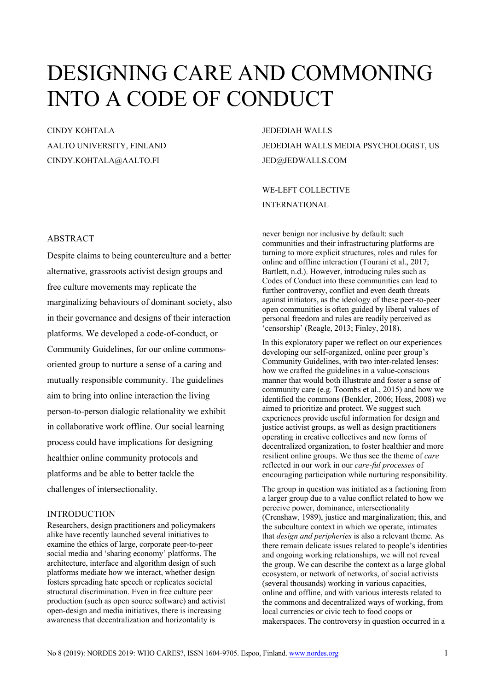# DESIGNING CARE AND COMMONING INTO A CODE OF CONDUCT

## CINDY KOHTALA AALTO UNIVERSITY, FINLAND CINDY.KOHTALA@AALTO.FI

### ABSTRACT

Despite claims to being counterculture and a better alternative, grassroots activist design groups and free culture movements may replicate the marginalizing behaviours of dominant society, also in their governance and designs of their interaction platforms. We developed a code-of-conduct, or Community Guidelines, for our online commonsoriented group to nurture a sense of a caring and mutually responsible community. The guidelines aim to bring into online interaction the living person-to-person dialogic relationality we exhibit in collaborative work offline. Our social learning process could have implications for designing healthier online community protocols and platforms and be able to better tackle the challenges of intersectionality.

#### INTRODUCTION

Researchers, design practitioners and policymakers alike have recently launched several initiatives to examine the ethics of large, corporate peer-to-peer social media and 'sharing economy' platforms. The architecture, interface and algorithm design of such platforms mediate how we interact, whether design fosters spreading hate speech or replicates societal structural discrimination. Even in free culture peer production (such as open source software) and activist open-design and media initiatives, there is increasing awareness that decentralization and horizontality is

JEDEDIAH WALLS JEDEDIAH WALLS MEDIA PSYCHOLOGIST, US JED@JEDWALLS.COM

WE-LEFT COLLECTIVE INTERNATIONAL

never benign nor inclusive by default: such communities and their infrastructuring platforms are turning to more explicit structures, roles and rules for online and offline interaction (Tourani et al., 2017; Bartlett, n.d.). However, introducing rules such as Codes of Conduct into these communities can lead to further controversy, conflict and even death threats against initiators, as the ideology of these peer-to-peer open communities is often guided by liberal values of personal freedom and rules are readily perceived as 'censorship' (Reagle, 2013; Finley, 2018).

In this exploratory paper we reflect on our experiences developing our self-organized, online peer group's Community Guidelines, with two inter-related lenses: how we crafted the guidelines in a value-conscious manner that would both illustrate and foster a sense of community care (e.g. Toombs et al., 2015) and how we identified the commons (Benkler, 2006; Hess, 2008) we aimed to prioritize and protect. We suggest such experiences provide useful information for design and justice activist groups, as well as design practitioners operating in creative collectives and new forms of decentralized organization, to foster healthier and more resilient online groups. We thus see the theme of *care* reflected in our work in our *care-ful processes* of encouraging participation while nurturing responsibility.

The group in question was initiated as a factioning from a larger group due to a value conflict related to how we perceive power, dominance, intersectionality (Crenshaw, 1989), justice and marginalization; this, and the subculture context in which we operate, intimates that *design and peripheries* is also a relevant theme. As there remain delicate issues related to people's identities and ongoing working relationships, we will not reveal the group. We can describe the context as a large global ecosystem, or network of networks, of social activists (several thousands) working in various capacities, online and offline, and with various interests related to the commons and decentralized ways of working, from local currencies or civic tech to food coops or makerspaces. The controversy in question occurred in a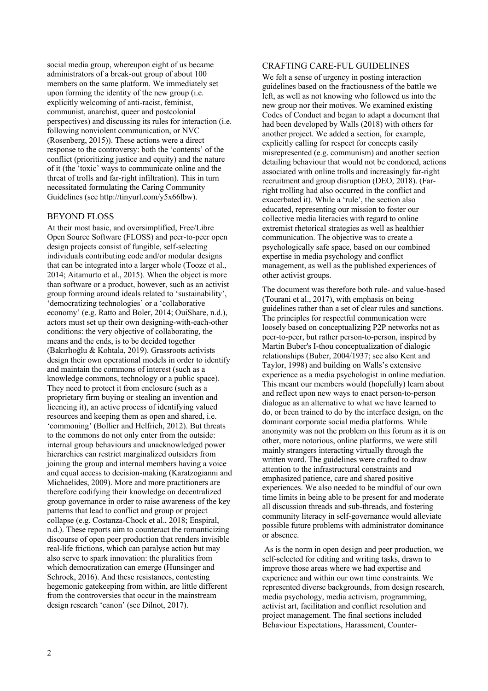social media group, whereupon eight of us became administrators of a break-out group of about 100 members on the same platform. We immediately set upon forming the identity of the new group (i.e. explicitly welcoming of anti-racist, feminist, communist, anarchist, queer and postcolonial perspectives) and discussing its rules for interaction (i.e. following nonviolent communication, or NVC (Rosenberg, 2015)). These actions were a direct response to the controversy: both the 'contents' of the conflict (prioritizing justice and equity) and the nature of it (the 'toxic' ways to communicate online and the threat of trolls and far-right infiltration). This in turn necessitated formulating the Caring Community Guidelines (see http://tinyurl.com/y5x66lbw).

#### BEYOND FLOSS

At their most basic, and oversimplified, Free/Libre Open Source Software (FLOSS) and peer-to-peer open design projects consist of fungible, self-selecting individuals contributing code and/or modular designs that can be integrated into a larger whole (Tooze et al., 2014; Aitamurto et al., 2015). When the object is more than software or a product, however, such as an activist group forming around ideals related to 'sustainability', 'democratizing technologies' or a 'collaborative economy' (e.g. Ratto and Boler, 2014; OuiShare, n.d.), actors must set up their own designing-with-each-other conditions: the very objective of collaborating, the means and the ends, is to be decided together (Bakırlıoğlu & Kohtala, 2019). Grassroots activists design their own operational models in order to identify and maintain the commons of interest (such as a knowledge commons, technology or a public space). They need to protect it from enclosure (such as a proprietary firm buying or stealing an invention and licencing it), an active process of identifying valued resources and keeping them as open and shared, i.e. 'commoning' (Bollier and Helfrich, 2012). But threats to the commons do not only enter from the outside: internal group behaviours and unacknowledged power hierarchies can restrict marginalized outsiders from joining the group and internal members having a voice and equal access to decision-making (Karatzogianni and Michaelides, 2009). More and more practitioners are therefore codifying their knowledge on decentralized group governance in order to raise awareness of the key patterns that lead to conflict and group or project collapse (e.g. Costanza-Chock et al., 2018; Enspiral, n.d.). These reports aim to counteract the romanticizing discourse of open peer production that renders invisible real-life frictions, which can paralyse action but may also serve to spark innovation: the pluralities from which democratization can emerge (Hunsinger and Schrock, 2016). And these resistances, contesting hegemonic gatekeeping from within, are little different from the controversies that occur in the mainstream design research 'canon' (see Dilnot, 2017).

#### CRAFTING CARE-FUL GUIDELINES

We felt a sense of urgency in posting interaction guidelines based on the fractiousness of the battle we left, as well as not knowing who followed us into the new group nor their motives. We examined existing Codes of Conduct and began to adapt a document that had been developed by Walls (2018) with others for another project. We added a section, for example, explicitly calling for respect for concepts easily misrepresented (e.g. communism) and another section detailing behaviour that would not be condoned, actions associated with online trolls and increasingly far-right recruitment and group disruption (DEO, 2018). (Farright trolling had also occurred in the conflict and exacerbated it). While a 'rule', the section also educated, representing our mission to foster our collective media literacies with regard to online extremist rhetorical strategies as well as healthier communication. The objective was to create a psychologically safe space, based on our combined expertise in media psychology and conflict management, as well as the published experiences of other activist groups.

The document was therefore both rule- and value-based (Tourani et al., 2017), with emphasis on being guidelines rather than a set of clear rules and sanctions. The principles for respectful communication were loosely based on conceptualizing P2P networks not as peer-to-peer, but rather person-to-person, inspired by Martin Buber's I-thou conceptualization of dialogic relationships (Buber, 2004/1937; see also Kent and Taylor, 1998) and building on Walls's extensive experience as a media psychologist in online mediation. This meant our members would (hopefully) learn about and reflect upon new ways to enact person-to-person dialogue as an alternative to what we have learned to do, or been trained to do by the interface design, on the dominant corporate social media platforms. While anonymity was not the problem on this forum as it is on other, more notorious, online platforms, we were still mainly strangers interacting virtually through the written word. The guidelines were crafted to draw attention to the infrastructural constraints and emphasized patience, care and shared positive experiences. We also needed to be mindful of our own time limits in being able to be present for and moderate all discussion threads and sub-threads, and fostering community literacy in self-governance would alleviate possible future problems with administrator dominance or absence.

As is the norm in open design and peer production, we self-selected for editing and writing tasks, drawn to improve those areas where we had expertise and experience and within our own time constraints. We represented diverse backgrounds, from design research, media psychology, media activism, programming, activist art, facilitation and conflict resolution and project management. The final sections included Behaviour Expectations, Harassment, Counter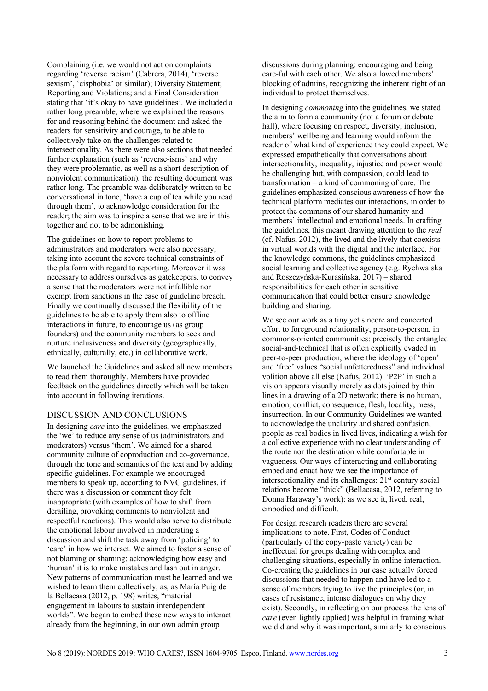Complaining (i.e. we would not act on complaints regarding 'reverse racism' (Cabrera, 2014), 'reverse sexism', 'cisphobia' or similar); Diversity Statement; Reporting and Violations; and a Final Consideration stating that 'it's okay to have guidelines'. We included a rather long preamble, where we explained the reasons for and reasoning behind the document and asked the readers for sensitivity and courage, to be able to collectively take on the challenges related to intersectionality. As there were also sections that needed further explanation (such as 'reverse-isms' and why they were problematic, as well as a short description of nonviolent communication), the resulting document was rather long. The preamble was deliberately written to be conversational in tone, 'have a cup of tea while you read through them', to acknowledge consideration for the reader; the aim was to inspire a sense that we are in this together and not to be admonishing.

The guidelines on how to report problems to administrators and moderators were also necessary, taking into account the severe technical constraints of the platform with regard to reporting. Moreover it was necessary to address ourselves as gatekeepers, to convey a sense that the moderators were not infallible nor exempt from sanctions in the case of guideline breach. Finally we continually discussed the flexibility of the guidelines to be able to apply them also to offline interactions in future, to encourage us (as group founders) and the community members to seek and nurture inclusiveness and diversity (geographically, ethnically, culturally, etc.) in collaborative work.

We launched the Guidelines and asked all new members to read them thoroughly. Members have provided feedback on the guidelines directly which will be taken into account in following iterations.

#### DISCUSSION AND CONCLUSIONS

In designing *care* into the guidelines, we emphasized the 'we' to reduce any sense of us (administrators and moderators) versus 'them'. We aimed for a shared community culture of coproduction and co-governance, through the tone and semantics of the text and by adding specific guidelines. For example we encouraged members to speak up, according to NVC guidelines, if there was a discussion or comment they felt inappropriate (with examples of how to shift from derailing, provoking comments to nonviolent and respectful reactions). This would also serve to distribute the emotional labour involved in moderating a discussion and shift the task away from 'policing' to 'care' in how we interact. We aimed to foster a sense of not blaming or shaming: acknowledging how easy and 'human' it is to make mistakes and lash out in anger. New patterns of communication must be learned and we wished to learn them collectively, as, as María Puig de la Bellacasa (2012, p. 198) writes, "material engagement in labours to sustain interdependent worlds". We began to embed these new ways to interact already from the beginning, in our own admin group

discussions during planning: encouraging and being care-ful with each other. We also allowed members' blocking of admins, recognizing the inherent right of an individual to protect themselves.

In designing *commoning* into the guidelines, we stated the aim to form a community (not a forum or debate hall), where focusing on respect, diversity, inclusion, members' wellbeing and learning would inform the reader of what kind of experience they could expect. We expressed empathetically that conversations about intersectionality, inequality, injustice and power would be challenging but, with compassion, could lead to transformation – a kind of commoning of care. The guidelines emphasized conscious awareness of how the technical platform mediates our interactions, in order to protect the commons of our shared humanity and members' intellectual and emotional needs. In crafting the guidelines, this meant drawing attention to the *real* (cf. Nafus, 2012), the lived and the lively that coexists in virtual worlds with the digital and the interface. For the knowledge commons, the guidelines emphasized social learning and collective agency (e.g. Rychwalska and Roszczyńska-Kurasińska, 2017) – shared responsibilities for each other in sensitive communication that could better ensure knowledge building and sharing.

We see our work as a tiny yet sincere and concerted effort to foreground relationality, person-to-person, in commons-oriented communities: precisely the entangled social-and-technical that is often explicitly evaded in peer-to-peer production, where the ideology of 'open' and 'free' values "social unfetteredness" and individual volition above all else (Nafus, 2012). 'P2P' in such a vision appears visually merely as dots joined by thin lines in a drawing of a 2D network; there is no human, emotion, conflict, consequence, flesh, locality, mess, insurrection. In our Community Guidelines we wanted to acknowledge the unclarity and shared confusion, people as real bodies in lived lives, indicating a wish for a collective experience with no clear understanding of the route nor the destination while comfortable in vagueness. Our ways of interacting and collaborating embed and enact how we see the importance of intersectionality and its challenges:  $21<sup>st</sup>$  century social relations become "thick" (Bellacasa, 2012, referring to Donna Haraway's work): as we see it, lived, real, embodied and difficult.

For design research readers there are several implications to note. First, Codes of Conduct (particularly of the copy-paste variety) can be ineffectual for groups dealing with complex and challenging situations, especially in online interaction. Co-creating the guidelines in our case actually forced discussions that needed to happen and have led to a sense of members trying to live the principles (or, in cases of resistance, intense dialogues on why they exist). Secondly, in reflecting on our process the lens of *care* (even lightly applied) was helpful in framing what we did and why it was important, similarly to conscious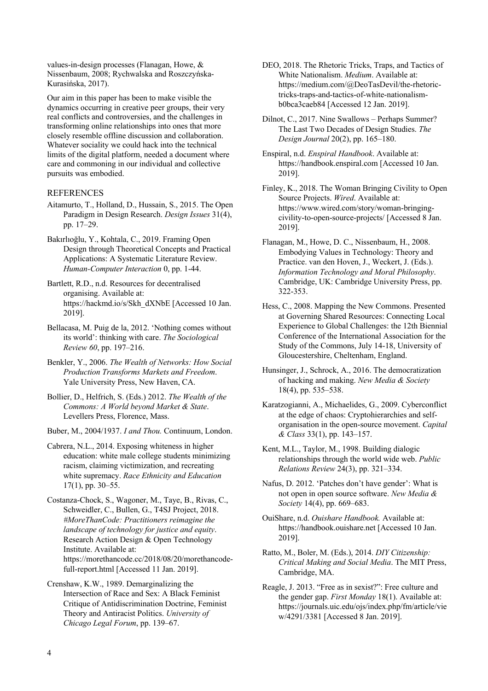values-in-design processes (Flanagan, Howe, & Nissenbaum, 2008; Rychwalska and Roszczyńska-Kurasińska, 2017).

Our aim in this paper has been to make visible the dynamics occurring in creative peer groups, their very real conflicts and controversies, and the challenges in transforming online relationships into ones that more closely resemble offline discussion and collaboration. Whatever sociality we could hack into the technical limits of the digital platform, needed a document where care and commoning in our individual and collective pursuits was embodied.

#### REFERENCES

- Aitamurto, T., Holland, D., Hussain, S., 2015. The Open Paradigm in Design Research. *Design Issues* 31(4), pp. 17–29.
- Bakırlıoğlu, Y., Kohtala, C., 2019. Framing Open Design through Theoretical Concepts and Practical Applications: A Systematic Literature Review. *Human-Computer Interaction* 0, pp. 1-44.
- Bartlett, R.D., n.d. Resources for decentralised organising. Available at: https://hackmd.io/s/Skh\_dXNbE [Accessed 10 Jan. 2019].
- Bellacasa, M. Puig de la, 2012. 'Nothing comes without its world': thinking with care. *The Sociological Review 60*, pp. 197–216.
- Benkler, Y., 2006. *The Wealth of Networks: How Social Production Transforms Markets and Freedom*. Yale University Press, New Haven, CA.
- Bollier, D., Helfrich, S. (Eds.) 2012. *The Wealth of the Commons: A World beyond Market & State*. Levellers Press, Florence, Mass.
- Buber, M., 2004/1937. *I and Thou.* Continuum, London.
- Cabrera, N.L., 2014. Exposing whiteness in higher education: white male college students minimizing racism, claiming victimization, and recreating white supremacy. *Race Ethnicity and Education* 17(1), pp. 30–55.
- Costanza-Chock, S., Wagoner, M., Taye, B., Rivas, C., Schweidler, C., Bullen, G., T4SJ Project, 2018. *#MoreThanCode: Practitioners reimagine the landscape of technology for justice and equity*. Research Action Design & Open Technology Institute. Available at: https://morethancode.cc/2018/08/20/morethancodefull-report.html [Accessed 11 Jan. 2019].
- Crenshaw, K.W., 1989. Demarginalizing the Intersection of Race and Sex: A Black Feminist Critique of Antidiscrimination Doctrine, Feminist Theory and Antiracist Politics. *University of Chicago Legal Forum*, pp. 139–67.
- DEO, 2018. The Rhetoric Tricks, Traps, and Tactics of White Nationalism. *Medium*. Available at: https://medium.com/@DeoTasDevil/the-rhetorictricks-traps-and-tactics-of-white-nationalismb0bca3caeb84 [Accessed 12 Jan. 2019].
- Dilnot, C., 2017. Nine Swallows Perhaps Summer? The Last Two Decades of Design Studies. *The Design Journal* 20(2), pp. 165–180.
- Enspiral, n.d. *Enspiral Handbook*. Available at: https://handbook.enspiral.com [Accessed 10 Jan. 2019].
- Finley, K., 2018. The Woman Bringing Civility to Open Source Projects. *Wired*. Available at: https://www.wired.com/story/woman-bringingcivility-to-open-source-projects/ [Accessed 8 Jan. 2019].
- Flanagan, M., Howe, D. C., Nissenbaum, H., 2008. Embodying Values in Technology: Theory and Practice. van den Hoven, J., Weckert, J. (Eds.). *Information Technology and Moral Philosophy*. Cambridge, UK: Cambridge University Press, pp. 322-353.
- Hess, C., 2008. Mapping the New Commons. Presented at Governing Shared Resources: Connecting Local Experience to Global Challenges: the 12th Biennial Conference of the International Association for the Study of the Commons, July 14-18, University of Gloucestershire, Cheltenham, England.
- Hunsinger, J., Schrock, A., 2016. The democratization of hacking and making. *New Media & Society* 18(4), pp. 535–538.
- Karatzogianni, A., Michaelides, G., 2009. Cyberconflict at the edge of chaos: Cryptohierarchies and selforganisation in the open-source movement. *Capital & Class* 33(1), pp. 143–157.
- Kent, M.L., Taylor, M., 1998. Building dialogic relationships through the world wide web. *Public Relations Review* 24(3), pp. 321–334.
- Nafus, D. 2012. 'Patches don't have gender': What is not open in open source software. *New Media & Society* 14(4), pp. 669–683.
- OuiShare, n.d. *Ouishare Handbook.* Available at: https://handbook.ouishare.net [Accessed 10 Jan. 2019].
- Ratto, M., Boler, M. (Eds.), 2014. *DIY Citizenship: Critical Making and Social Media*. The MIT Press, Cambridge, MA.
- Reagle, J. 2013. "Free as in sexist?": Free culture and the gender gap. *First Monday* 18(1). Available at: https://journals.uic.edu/ojs/index.php/fm/article/vie w/4291/3381 [Accessed 8 Jan. 2019].